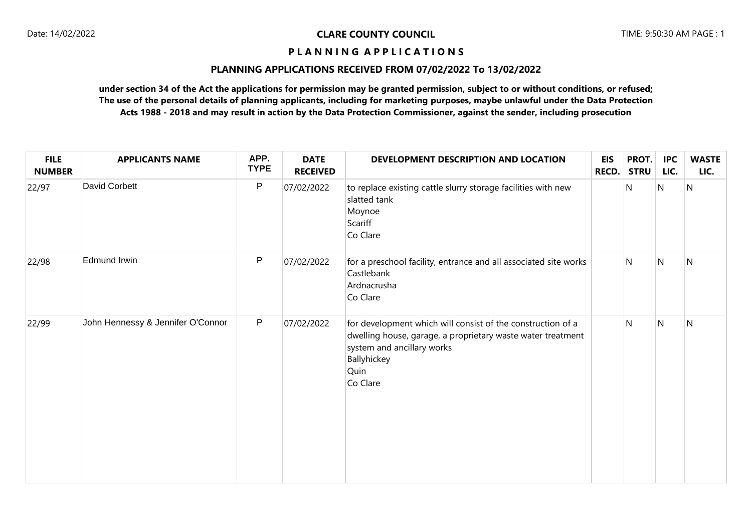#### **PLANNING APPLICATIONS RECEIVED FROM 07/02/2022 To 13/02/2022**

| <b>FILE</b><br><b>NUMBER</b> | <b>APPLICANTS NAME</b>            | APP.<br><b>TYPE</b> | <b>DATE</b><br><b>RECEIVED</b> | DEVELOPMENT DESCRIPTION AND LOCATION                                                                                                                                                        | <b>EIS</b><br>RECD. | PROT.<br><b>STRU</b> | <b>IPC</b><br>LIC. | <b>WASTE</b><br>LIC. |
|------------------------------|-----------------------------------|---------------------|--------------------------------|---------------------------------------------------------------------------------------------------------------------------------------------------------------------------------------------|---------------------|----------------------|--------------------|----------------------|
| 22/97                        | <b>David Corbett</b>              | $\mathsf{P}$        | 07/02/2022                     | to replace existing cattle slurry storage facilities with new<br>slatted tank<br>Moynoe<br>Scariff<br>Co Clare                                                                              |                     | N                    | N                  | N                    |
| 22/98                        | Edmund Irwin                      | P                   | 07/02/2022                     | for a preschool facility, entrance and all associated site works<br>Castlebank<br>Ardnacrusha<br>Co Clare                                                                                   |                     | N                    | N                  | N                    |
| 22/99                        | John Hennessy & Jennifer O'Connor | P                   | 07/02/2022                     | for development which will consist of the construction of a<br>dwelling house, garage, a proprietary waste water treatment<br>system and ancillary works<br>Ballyhickey<br>Quin<br>Co Clare |                     | $\mathsf{N}$         | N                  | $\mathsf{N}$         |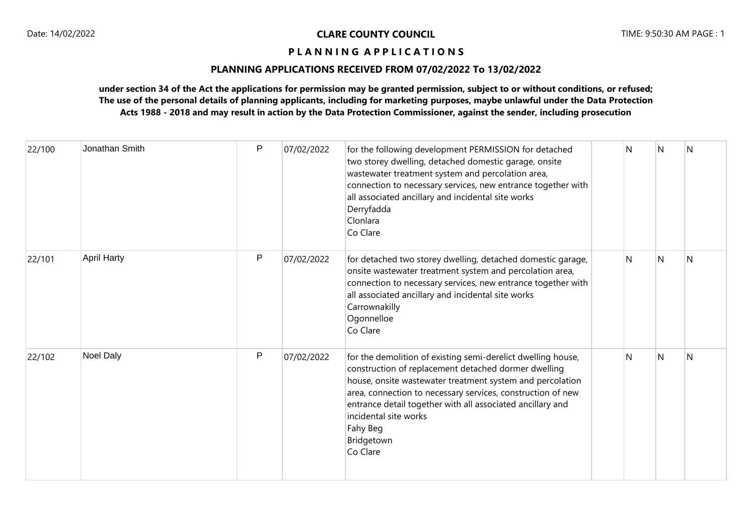### **PLANNING APPLICATIONS RECEIVED FROM 07/02/2022 To 13/02/2022**

| 22/100 | Jonathan Smith     | P | 07/02/2022 | for the following development PERMISSION for detached<br>two storey dwelling, detached domestic garage, onsite<br>wastewater treatment system and percolation area,<br>connection to necessary services, new entrance together with<br>all associated ancillary and incidental site works<br>Derryfadda<br>Clonlara<br>Co Clare                                               | N | N | N |
|--------|--------------------|---|------------|-------------------------------------------------------------------------------------------------------------------------------------------------------------------------------------------------------------------------------------------------------------------------------------------------------------------------------------------------------------------------------|---|---|---|
| 22/101 | <b>April Harty</b> | P | 07/02/2022 | for detached two storey dwelling, detached domestic garage,<br>onsite wastewater treatment system and percolation area,<br>connection to necessary services, new entrance together with<br>all associated ancillary and incidental site works<br>Carrownakilly<br>Ogonnelloe<br>Co Clare                                                                                      | N | N | N |
| 22/102 | <b>Noel Daly</b>   | P | 07/02/2022 | for the demolition of existing semi-derelict dwelling house,<br>construction of replacement detached dormer dwelling<br>house, onsite wastewater treatment system and percolation<br>area, connection to necessary services, construction of new<br>entrance detail together with all associated ancillary and<br>incidental site works<br>Fahy Beg<br>Bridgetown<br>Co Clare | N | N | N |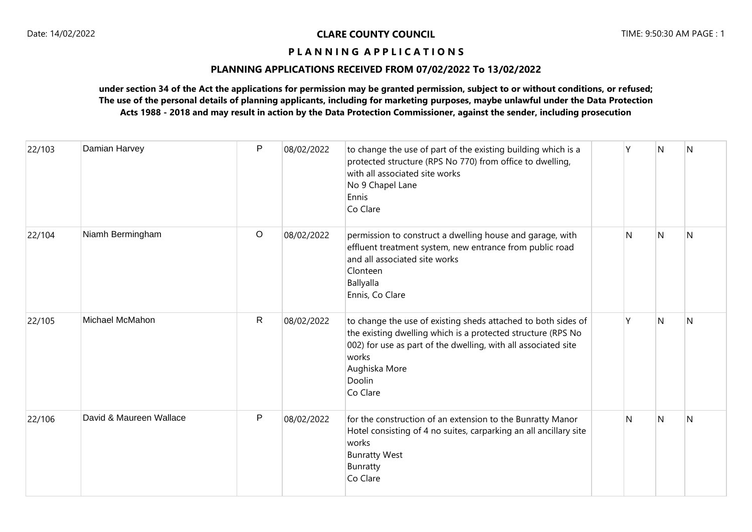### **PLANNING APPLICATIONS RECEIVED FROM 07/02/2022 To 13/02/2022**

| 22/103 | Damian Harvey           | P            | 08/02/2022 | to change the use of part of the existing building which is a<br>protected structure (RPS No 770) from office to dwelling,<br>with all associated site works<br>No 9 Chapel Lane<br>Ennis<br>Co Clare                                           | Υ | N              | <b>N</b> |
|--------|-------------------------|--------------|------------|-------------------------------------------------------------------------------------------------------------------------------------------------------------------------------------------------------------------------------------------------|---|----------------|----------|
| 22/104 | Niamh Bermingham        | $\circ$      | 08/02/2022 | permission to construct a dwelling house and garage, with<br>effluent treatment system, new entrance from public road<br>and all associated site works<br>Clonteen<br>Ballyalla<br>Ennis, Co Clare                                              | N | N              | N        |
| 22/105 | Michael McMahon         | $\mathsf{R}$ | 08/02/2022 | to change the use of existing sheds attached to both sides of<br>the existing dwelling which is a protected structure (RPS No<br>002) for use as part of the dwelling, with all associated site<br>works<br>Aughiska More<br>Doolin<br>Co Clare | γ | $\overline{N}$ | N        |
| 22/106 | David & Maureen Wallace | P            | 08/02/2022 | for the construction of an extension to the Bunratty Manor<br>Hotel consisting of 4 no suites, carparking an all ancillary site<br>works<br><b>Bunratty West</b><br><b>Bunratty</b><br>Co Clare                                                 | N | N              | N        |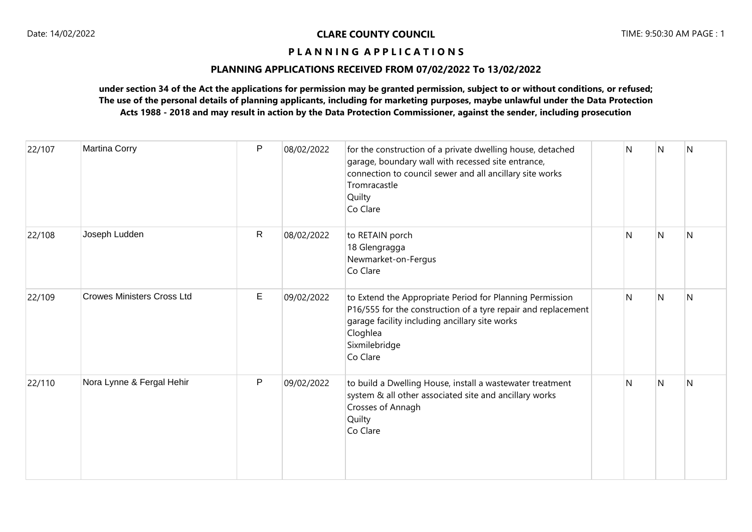### **PLANNING APPLICATIONS RECEIVED FROM 07/02/2022 To 13/02/2022**

| 22/107 | <b>Martina Corry</b>              | P            | 08/02/2022 | for the construction of a private dwelling house, detached<br>garage, boundary wall with recessed site entrance,<br>connection to council sewer and all ancillary site works<br>Tromracastle<br>Quilty<br>Co Clare   | N | N | N |
|--------|-----------------------------------|--------------|------------|----------------------------------------------------------------------------------------------------------------------------------------------------------------------------------------------------------------------|---|---|---|
| 22/108 | Joseph Ludden                     | $\mathsf{R}$ | 08/02/2022 | to RETAIN porch<br>18 Glengragga<br>Newmarket-on-Fergus<br>Co Clare                                                                                                                                                  | N | N | N |
| 22/109 | <b>Crowes Ministers Cross Ltd</b> | Е            | 09/02/2022 | to Extend the Appropriate Period for Planning Permission<br>P16/555 for the construction of a tyre repair and replacement<br>garage facility including ancillary site works<br>Cloghlea<br>Sixmilebridge<br>Co Clare | N | N | N |
| 22/110 | Nora Lynne & Fergal Hehir         | P            | 09/02/2022 | to build a Dwelling House, install a wastewater treatment<br>system & all other associated site and ancillary works<br>Crosses of Annagh<br>Quilty<br>Co Clare                                                       | N | N | N |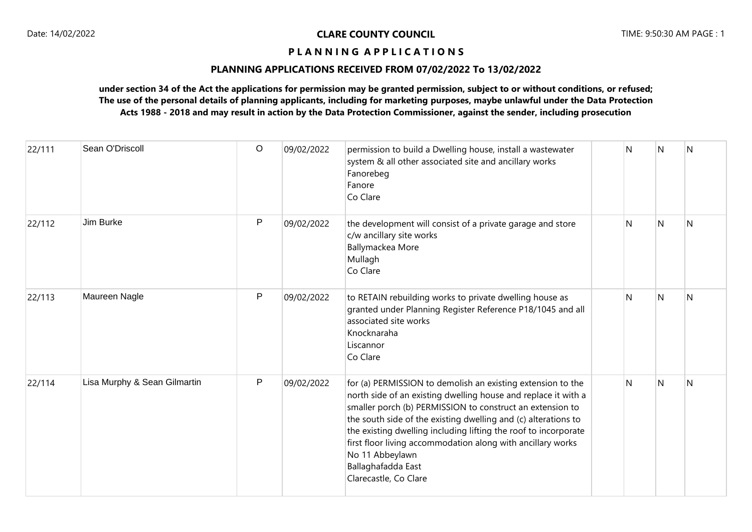### **PLANNING APPLICATIONS RECEIVED FROM 07/02/2022 To 13/02/2022**

| 22/111 | Sean O'Driscoll              | $\circ$ | 09/02/2022 | permission to build a Dwelling house, install a wastewater<br>system & all other associated site and ancillary works<br>Fanorebeg<br>Fanore<br>Co Clare                                                                                                                                                                                                                                                                                                          | N | N | N |
|--------|------------------------------|---------|------------|------------------------------------------------------------------------------------------------------------------------------------------------------------------------------------------------------------------------------------------------------------------------------------------------------------------------------------------------------------------------------------------------------------------------------------------------------------------|---|---|---|
| 22/112 | Jim Burke                    | P       | 09/02/2022 | the development will consist of a private garage and store<br>c/w ancillary site works<br>Ballymackea More<br>Mullagh<br>Co Clare                                                                                                                                                                                                                                                                                                                                | N | N | N |
| 22/113 | Maureen Nagle                | P       | 09/02/2022 | to RETAIN rebuilding works to private dwelling house as<br>granted under Planning Register Reference P18/1045 and all<br>associated site works<br>Knocknaraha<br>Liscannor<br>Co Clare                                                                                                                                                                                                                                                                           | N | N | N |
| 22/114 | Lisa Murphy & Sean Gilmartin | P       | 09/02/2022 | for (a) PERMISSION to demolish an existing extension to the<br>north side of an existing dwelling house and replace it with a<br>smaller porch (b) PERMISSION to construct an extension to<br>the south side of the existing dwelling and (c) alterations to<br>the existing dwelling including lifting the roof to incorporate<br>first floor living accommodation along with ancillary works<br>No 11 Abbeylawn<br>Ballaghafadda East<br>Clarecastle, Co Clare | N | N | N |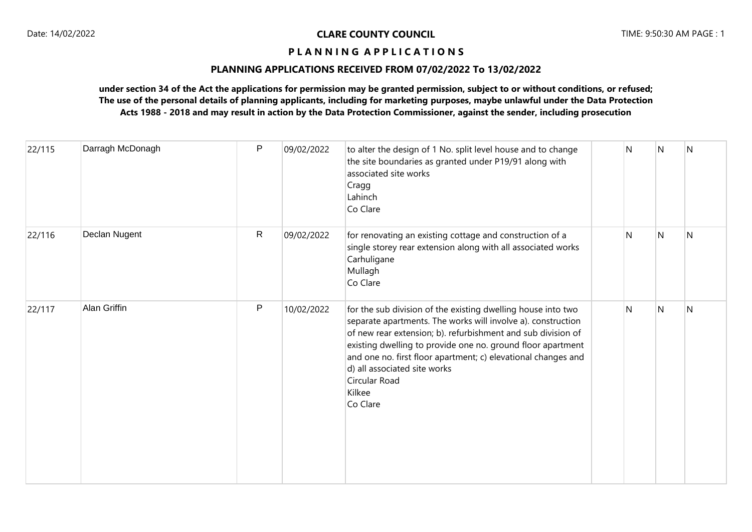### **PLANNING APPLICATIONS RECEIVED FROM 07/02/2022 To 13/02/2022**

| 22/115 | Darragh McDonagh    | P            | 09/02/2022 | to alter the design of 1 No. split level house and to change<br>the site boundaries as granted under P19/91 along with<br>associated site works<br>Cragg<br>Lahinch<br>Co Clare                                                                                                                                                                                                                     | N | N | N |
|--------|---------------------|--------------|------------|-----------------------------------------------------------------------------------------------------------------------------------------------------------------------------------------------------------------------------------------------------------------------------------------------------------------------------------------------------------------------------------------------------|---|---|---|
| 22/116 | Declan Nugent       | $\mathsf{R}$ | 09/02/2022 | for renovating an existing cottage and construction of a<br>single storey rear extension along with all associated works<br>Carhuligane<br>Mullagh<br>Co Clare                                                                                                                                                                                                                                      | N | N | N |
| 22/117 | <b>Alan Griffin</b> | P            | 10/02/2022 | for the sub division of the existing dwelling house into two<br>separate apartments. The works will involve a). construction<br>of new rear extension; b). refurbishment and sub division of<br>existing dwelling to provide one no. ground floor apartment<br>and one no. first floor apartment; c) elevational changes and<br>d) all associated site works<br>Circular Road<br>Kilkee<br>Co Clare | N | N | N |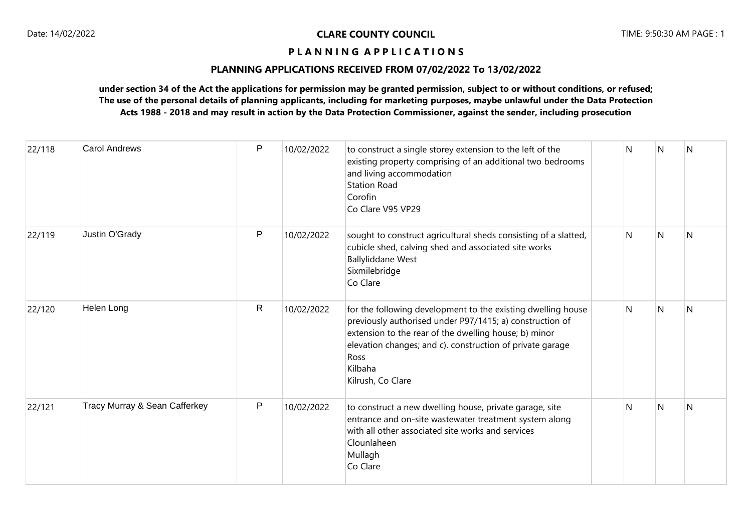### **PLANNING APPLICATIONS RECEIVED FROM 07/02/2022 To 13/02/2022**

| 22/118 | <b>Carol Andrews</b>          | P            | 10/02/2022 | to construct a single storey extension to the left of the<br>existing property comprising of an additional two bedrooms<br>and living accommodation<br><b>Station Road</b><br>Corofin<br>Co Clare V95 VP29                                                                             | N | N            | $\overline{N}$ |
|--------|-------------------------------|--------------|------------|----------------------------------------------------------------------------------------------------------------------------------------------------------------------------------------------------------------------------------------------------------------------------------------|---|--------------|----------------|
| 22/119 | Justin O'Grady                | P            | 10/02/2022 | sought to construct agricultural sheds consisting of a slatted,<br>cubicle shed, calving shed and associated site works<br><b>Ballyliddane West</b><br>Sixmilebridge<br>Co Clare                                                                                                       | N | N            | N              |
| 22/120 | Helen Long                    | $\mathsf{R}$ | 10/02/2022 | for the following development to the existing dwelling house<br>previously authorised under P97/1415; a) construction of<br>extension to the rear of the dwelling house; b) minor<br>elevation changes; and c). construction of private garage<br>Ross<br>Kilbaha<br>Kilrush, Co Clare | N | N            | IN.            |
| 22/121 | Tracy Murray & Sean Cafferkey | P            | 10/02/2022 | to construct a new dwelling house, private garage, site<br>entrance and on-site wastewater treatment system along<br>with all other associated site works and services<br>Clounlaheen<br>Mullagh<br>Co Clare                                                                           | N | <sup>N</sup> | N              |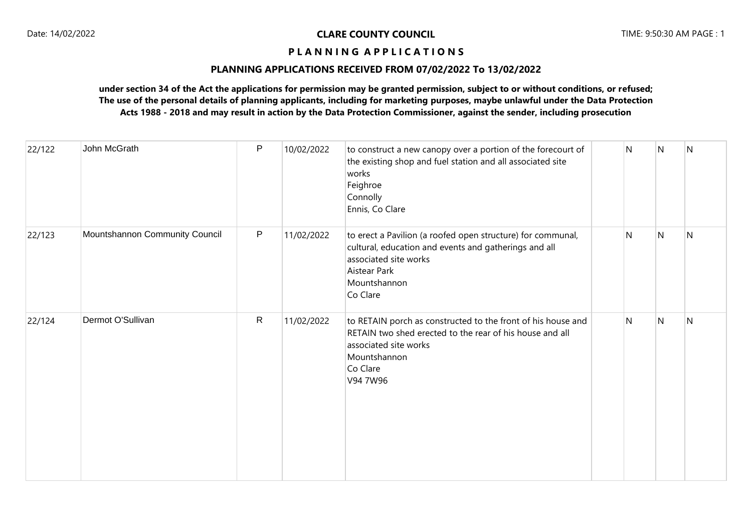### **PLANNING APPLICATIONS RECEIVED FROM 07/02/2022 To 13/02/2022**

| 22/122 | John McGrath                   | P            | 10/02/2022 | to construct a new canopy over a portion of the forecourt of<br>the existing shop and fuel station and all associated site<br>works<br>Feighroe<br>Connolly<br>Ennis, Co Clare            | N | N | N |
|--------|--------------------------------|--------------|------------|-------------------------------------------------------------------------------------------------------------------------------------------------------------------------------------------|---|---|---|
| 22/123 | Mountshannon Community Council | P            | 11/02/2022 | to erect a Pavilion (a roofed open structure) for communal,<br>cultural, education and events and gatherings and all<br>associated site works<br>Aistear Park<br>Mountshannon<br>Co Clare | N | N | N |
| 22/124 | Dermot O'Sullivan              | $\mathsf{R}$ | 11/02/2022 | to RETAIN porch as constructed to the front of his house and<br>RETAIN two shed erected to the rear of his house and all<br>associated site works<br>Mountshannon<br>Co Clare<br>V94 7W96 | N | N | N |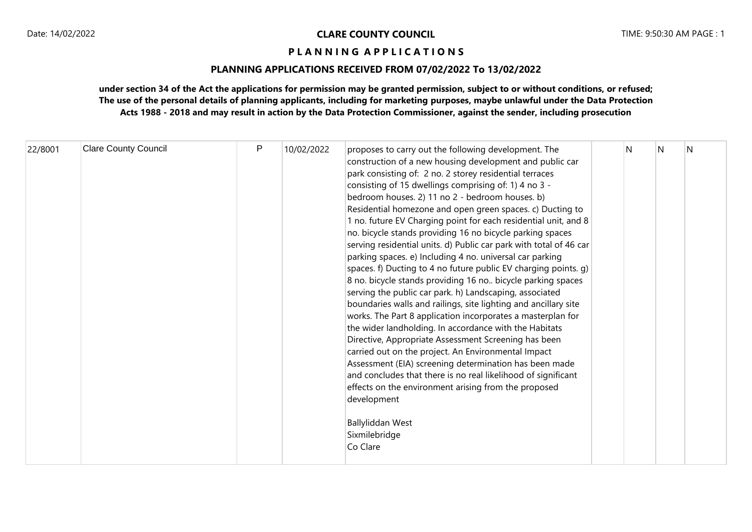# **PLANNING APPLICATIONS RECEIVED FROM 07/02/2022 To 13/02/2022**

| 22/8001 | <b>Clare County Council</b> | P | 10/02/2022 | proposes to carry out the following development. The<br>construction of a new housing development and public car<br>park consisting of: 2 no. 2 storey residential terraces<br>consisting of 15 dwellings comprising of: 1) 4 no 3 -<br>bedroom houses. 2) 11 no 2 - bedroom houses. b)<br>Residential homezone and open green spaces. c) Ducting to<br>1 no. future EV Charging point for each residential unit, and 8<br>no. bicycle stands providing 16 no bicycle parking spaces<br>serving residential units. d) Public car park with total of 46 car<br>parking spaces. e) Including 4 no. universal car parking<br>spaces. f) Ducting to 4 no future public EV charging points. g)<br>8 no. bicycle stands providing 16 no bicycle parking spaces<br>serving the public car park. h) Landscaping, associated<br>boundaries walls and railings, site lighting and ancillary site<br>works. The Part 8 application incorporates a masterplan for<br>the wider landholding. In accordance with the Habitats<br>Directive, Appropriate Assessment Screening has been<br>carried out on the project. An Environmental Impact<br>Assessment (EIA) screening determination has been made<br>and concludes that there is no real likelihood of significant<br>effects on the environment arising from the proposed<br>development<br>Ballyliddan West<br>Sixmilebridge<br>Co Clare | N | N | N |  |
|---------|-----------------------------|---|------------|-----------------------------------------------------------------------------------------------------------------------------------------------------------------------------------------------------------------------------------------------------------------------------------------------------------------------------------------------------------------------------------------------------------------------------------------------------------------------------------------------------------------------------------------------------------------------------------------------------------------------------------------------------------------------------------------------------------------------------------------------------------------------------------------------------------------------------------------------------------------------------------------------------------------------------------------------------------------------------------------------------------------------------------------------------------------------------------------------------------------------------------------------------------------------------------------------------------------------------------------------------------------------------------------------------------------------------------------------------------------------------------|---|---|---|--|
|---------|-----------------------------|---|------------|-----------------------------------------------------------------------------------------------------------------------------------------------------------------------------------------------------------------------------------------------------------------------------------------------------------------------------------------------------------------------------------------------------------------------------------------------------------------------------------------------------------------------------------------------------------------------------------------------------------------------------------------------------------------------------------------------------------------------------------------------------------------------------------------------------------------------------------------------------------------------------------------------------------------------------------------------------------------------------------------------------------------------------------------------------------------------------------------------------------------------------------------------------------------------------------------------------------------------------------------------------------------------------------------------------------------------------------------------------------------------------------|---|---|---|--|